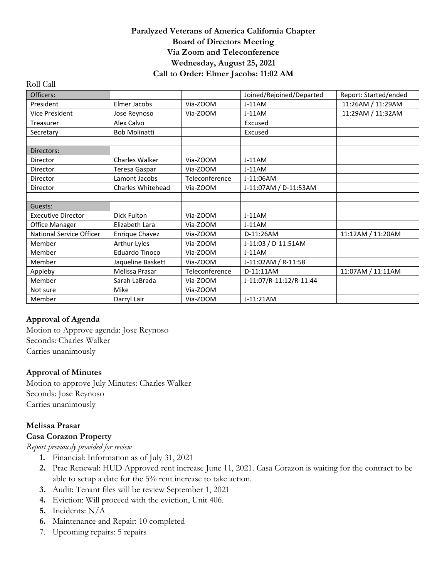#### **Paralyzed Veterans of America California Chapter Board of Directors Meeting Via Zoom and Teleconference Wednesday, August 25, 2021 Call to Order: Elmer Jacobs: 11:02 AM**

| Officers:                 |                       |                | Joined/Rejoined/Departed | Report: Started/ended |
|---------------------------|-----------------------|----------------|--------------------------|-----------------------|
| President                 | Elmer Jacobs          | Via-ZOOM       | $J-11AM$                 | 11:26AM / 11:29AM     |
| <b>Vice President</b>     | Jose Reynoso          | Via-ZOOM       | $J-11AM$                 | 11:29AM / 11:32AM     |
| Treasurer                 | Alex Calvo            |                | Excused                  |                       |
| Secretary                 | <b>Bob Molinatti</b>  |                | Excused                  |                       |
|                           |                       |                |                          |                       |
| Directors:                |                       |                |                          |                       |
| Director                  | Charles Walker        | Via-ZOOM       | $J-11AM$                 |                       |
| Director                  | Teresa Gaspar         | Via-ZOOM       | $J-11AM$                 |                       |
| Director                  | Lamont Jacobs         | Teleconference | J-11:06AM                |                       |
| Director                  | Charles Whitehead     | Via-ZOOM       | J-11:07AM / D-11:53AM    |                       |
|                           |                       |                |                          |                       |
| Guests:                   |                       |                |                          |                       |
| <b>Executive Director</b> | Dick Fulton           | Via-ZOOM       | $J-11AM$                 |                       |
| Office Manager            | Elizabeth Lara        | Via-ZOOM       | $J-11AM$                 |                       |
| National Service Officer  | Enrique Chavez        | Via-ZOOM       | D-11:26AM                | 11:12AM / 11:20AM     |
| Member                    | Arthur Lyles          | Via-ZOOM       | J-11:03 / D-11:51AM      |                       |
| Member                    | <b>Eduardo Tinoco</b> | Via-ZOOM       | $J-11AM$                 |                       |
| Member                    | Jaqueline Baskett     | Via-ZOOM       | J-11:02AM / R-11:58      |                       |
| Appleby                   | Melissa Prasar        | Teleconference | D-11:11AM                | 11:07AM / 11:11AM     |
| Member                    | Sarah LaBrada         | Via-ZOOM       | J-11:07/R-11:12/R-11:44  |                       |
| Not sure                  | Mike                  | Via-ZOOM       |                          |                       |
| Member                    | Darryl Lair           | Via-ZOOM       | J-11:21AM                |                       |

### **Approval of Agenda**

Roll Call

Motion to Approve agenda: Jose Reynoso Seconds: Charles Walker Carries unanimously

#### **Approval of Minutes**

Motion to approve July Minutes: Charles Walker Seconds: Jose Reynoso Carries unanimously

### **Melissa Prasar**

#### **Casa Corazon Property**

*Report previously provided for review*

- **1.** Financial: Information as of July 31, 2021
- **2.** Prac Renewal: HUD Approved rent increase June 11, 2021. Casa Corazon is waiting for the contract to be able to setup a date for the 5% rent increase to take action.
- **3.** Audit: Tenant files will be review September 1, 2021
- **4.** Eviction: Will proceed with the eviction, Unit 406.
- **5.** Incidents: N/A
- **6.** Maintenance and Repair: 10 completed
- 7. Upcoming repairs: 5 repairs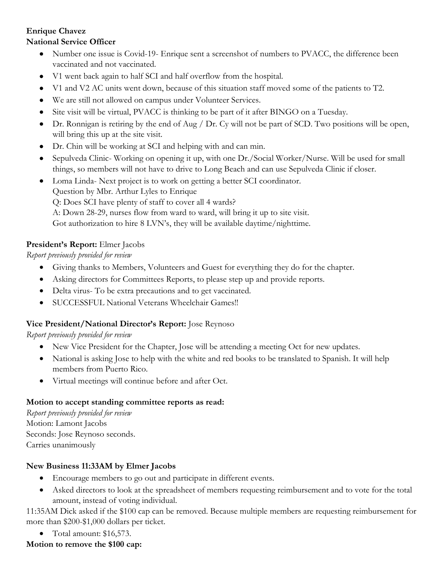#### **Enrique Chavez National Service Officer**

- Number one issue is Covid-19- Enrique sent a screenshot of numbers to PVACC, the difference been vaccinated and not vaccinated.
- V1 went back again to half SCI and half overflow from the hospital.
- V1 and V2 AC units went down, because of this situation staff moved some of the patients to T2.
- We are still not allowed on campus under Volunteer Services.
- Site visit will be virtual, PVACC is thinking to be part of it after BINGO on a Tuesday.
- Dr. Ronnigan is retiring by the end of Aug / Dr. Cy will not be part of SCD. Two positions will be open, will bring this up at the site visit.
- Dr. Chin will be working at SCI and helping with and can min.
- Sepulveda Clinic- Working on opening it up, with one Dr./Social Worker/Nurse. Will be used for small things, so members will not have to drive to Long Beach and can use Sepulveda Clinic if closer.
- Loma Linda- Next project is to work on getting a better SCI coordinator. Question by Mbr. Arthur Lyles to Enrique Q: Does SCI have plenty of staff to cover all 4 wards? A: Down 28-29, nurses flow from ward to ward, will bring it up to site visit. Got authorization to hire 8 LVN's, they will be available daytime/nighttime.

## **President's Report:** Elmer Jacobs

*Report previously provided for review*

- Giving thanks to Members, Volunteers and Guest for everything they do for the chapter.
- Asking directors for Committees Reports, to please step up and provide reports.
- Delta virus- To be extra precautions and to get vaccinated.
- SUCCESSFUL National Veterans Wheelchair Games!!

### **Vice President/National Director's Report:** Jose Reynoso

*Report previously provided for review*

- New Vice President for the Chapter, Jose will be attending a meeting Oct for new updates.
- National is asking Jose to help with the white and red books to be translated to Spanish. It will help members from Puerto Rico.
- Virtual meetings will continue before and after Oct.

### **Motion to accept standing committee reports as read:**

*Report previously provided for review* Motion: Lamont Jacobs Seconds: Jose Reynoso seconds. Carries unanimously

# **New Business 11:33AM by Elmer Jacobs**

- Encourage members to go out and participate in different events.
- Asked directors to look at the spreadsheet of members requesting reimbursement and to vote for the total amount, instead of voting individual.

11:35AM Dick asked if the \$100 cap can be removed. Because multiple members are requesting reimbursement for more than \$200-\$1,000 dollars per ticket.

• Total amount: \$16,573.

### **Motion to remove the \$100 cap:**